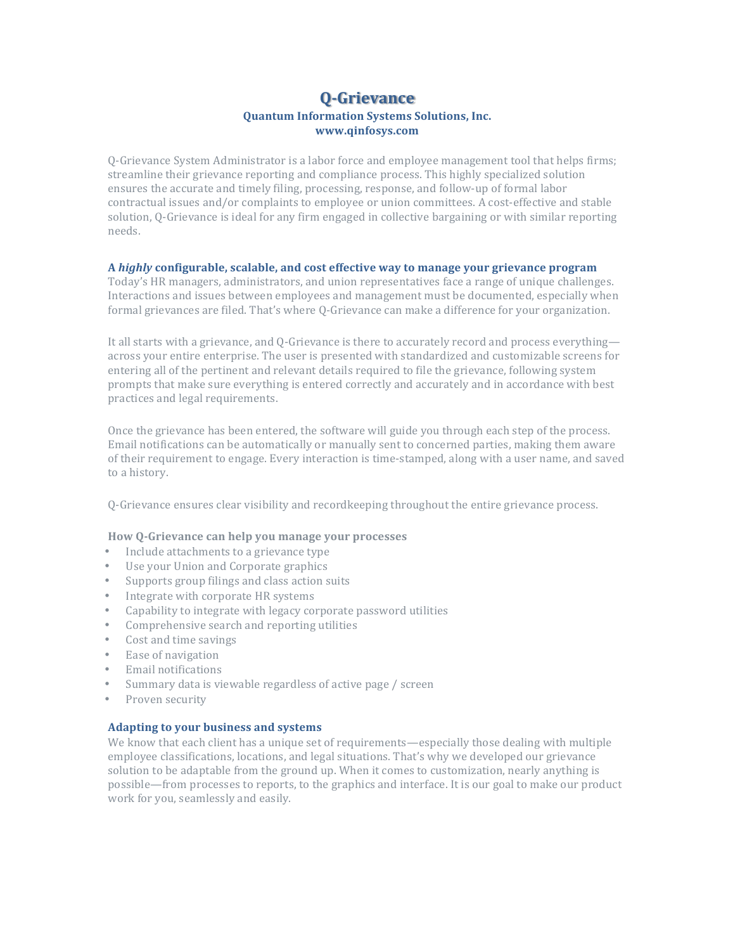# **Q-Grievance Quantum Information Systems Solutions, Inc. www.qinfosys.com**

O-Grievance System Administrator is a labor force and employee management tool that helps firms; streamline their grievance reporting and compliance process. This highly specialized solution ensures the accurate and timely filing, processing, response, and follow-up of formal labor contractual issues and/or complaints to employee or union committees. A cost-effective and stable solution, Q-Grievance is ideal for any firm engaged in collective bargaining or with similar reporting needs.

# A *highly* configurable, scalable, and cost effective way to manage your grievance program

Today's HR managers, administrators, and union representatives face a range of unique challenges. Interactions and issues between employees and management must be documented, especially when formal grievances are filed. That's where Q-Grievance can make a difference for your organization.

It all starts with a grievance, and Q-Grievance is there to accurately record and process everything across your entire enterprise. The user is presented with standardized and customizable screens for entering all of the pertinent and relevant details required to file the grievance, following system prompts that make sure everything is entered correctly and accurately and in accordance with best practices and legal requirements.

Once the grievance has been entered, the software will guide you through each step of the process. Email notifications can be automatically or manually sent to concerned parties, making them aware of their requirement to engage. Every interaction is time-stamped, along with a user name, and saved to a history.

Q-Grievance ensures clear visibility and recordkeeping throughout the entire grievance process.

# **How Q-Grievance can help you manage your processes**

- Include attachments to a grievance type
- Use your Union and Corporate graphics
- Supports group filings and class action suits
- Integrate with corporate HR systems
- Capability to integrate with legacy corporate password utilities
- Comprehensive search and reporting utilities
- Cost and time savings
- Ease of navigation
- Email notifications
- Summary data is viewable regardless of active page / screen
- Proven security

#### **Adapting to your business and systems**

We know that each client has a unique set of requirements—especially those dealing with multiple employee classifications, locations, and legal situations. That's why we developed our grievance solution to be adaptable from the ground up. When it comes to customization, nearly anything is possible—from processes to reports, to the graphics and interface. It is our goal to make our product work for you, seamlessly and easily.